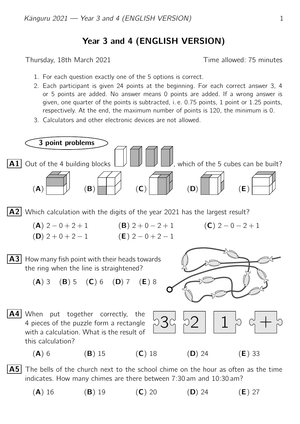## Year 3 and 4 (ENGLISH VERSION)

Thursday, 18th March 2021 **Thursday**, 18th March 2021

- 1. For each question exactly one of the 5 options is correct.
- 2. Each participant is given 24 points at the beginning. For each correct answer 3, 4 or 5 points are added. No answer means 0 points are added. If a wrong answer is given, one quarter of the points is subtracted, i. e. 0.75 points, 1 point or 1.25 points, respectively. At the end, the maximum number of points is 120, the minimum is 0.
- 3. Calculators and other electronic devices are not allowed.



(A) 16 (B) 19 (C) 20 (D) 24 (E) 27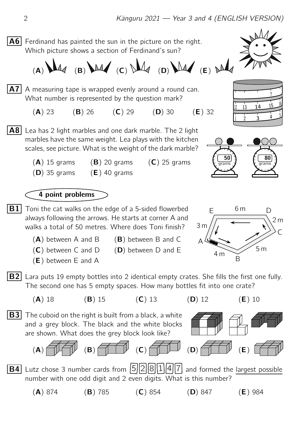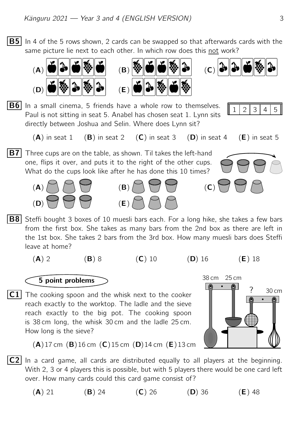$|B5|$  In 4 of the 5 rows shown, 2 cards can be swapped so that afterwards cards with the same picture lie next to each other. In which row does this not work?



$$
\mathbf{C} \left( \mathbf{C} \right)
$$

B6 <sup>1</sup> <sup>2</sup> <sup>3</sup> <sup>4</sup> <sup>5</sup> In a small cinema, 5 friends have a whole row to themselves. Paul is not sitting in seat 5. Anabel has chosen seat 1. Lynn sits directly between Joshua and Selin. Where does Lynn sit?



 $(A)$  in seat 1 (B) in seat 2 (C) in seat 3 (D) in seat 4 (E) in seat 5

**B7** Three cups are on the table, as shown. Til takes the left-hand one, flips it over, and puts it to the right of the other cups. What do the cups look like after he has done this 10 times?







**B8** Steffi bought 3 boxes of 10 muesli bars each. For a long hike, she takes a few bars from the first box. She takes as many bars from the 2nd box as there are left in the 1st box. She takes 2 bars from the 3rd box. How many muesli bars does Steffi leave at home?

$$
f_{\rm{max}}
$$

(A) 2 (B) 8 (C) 10 (D) 16 (E) 18

## 5 point problems

 $\overline{C1}$  The cooking spoon and the whisk next to the cooker reach exactly to the worktop. The ladle and the sieve reach exactly to the big pot. The cooking spoon is 38 cm long, the whisk 30 cm and the ladle 25 cm. How long is the sieve?



 $(A)$ 17 cm  $(B)$ 16 cm  $(C)$ 15 cm  $(D)$ 14 cm  $(E)$ 13 cm

- $|C2|$  In a card game, all cards are distributed equally to all players at the beginning. With 2, 3 or 4 players this is possible, but with 5 players there would be one card left over. How many cards could this card game consist of?
	- (A) 21 (B) 24 (C) 26 (D) 36 (E) 48